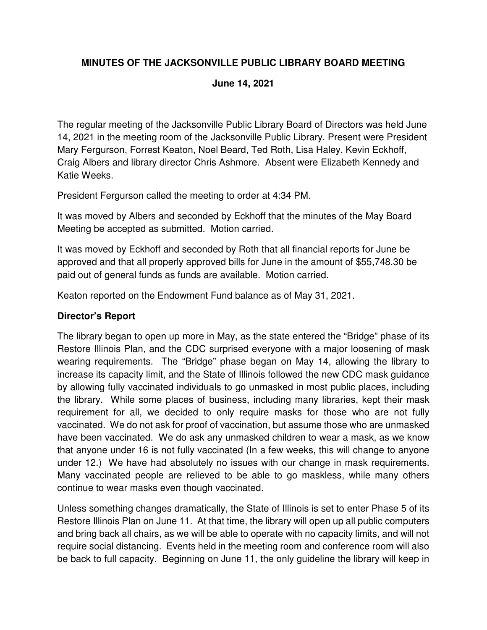### **MINUTES OF THE JACKSONVILLE PUBLIC LIBRARY BOARD MEETING**

#### **June 14, 2021**

The regular meeting of the Jacksonville Public Library Board of Directors was held June 14, 2021 in the meeting room of the Jacksonville Public Library. Present were President Mary Fergurson, Forrest Keaton, Noel Beard, Ted Roth, Lisa Haley, Kevin Eckhoff, Craig Albers and library director Chris Ashmore. Absent were Elizabeth Kennedy and Katie Weeks.

President Fergurson called the meeting to order at 4:34 PM.

It was moved by Albers and seconded by Eckhoff that the minutes of the May Board Meeting be accepted as submitted. Motion carried.

It was moved by Eckhoff and seconded by Roth that all financial reports for June be approved and that all properly approved bills for June in the amount of \$55,748.30 be paid out of general funds as funds are available. Motion carried.

Keaton reported on the Endowment Fund balance as of May 31, 2021.

#### **Director's Report**

The library began to open up more in May, as the state entered the "Bridge" phase of its Restore Illinois Plan, and the CDC surprised everyone with a major loosening of mask wearing requirements. The "Bridge" phase began on May 14, allowing the library to increase its capacity limit, and the State of Illinois followed the new CDC mask guidance by allowing fully vaccinated individuals to go unmasked in most public places, including the library. While some places of business, including many libraries, kept their mask requirement for all, we decided to only require masks for those who are not fully vaccinated. We do not ask for proof of vaccination, but assume those who are unmasked have been vaccinated. We do ask any unmasked children to wear a mask, as we know that anyone under 16 is not fully vaccinated (In a few weeks, this will change to anyone under 12.) We have had absolutely no issues with our change in mask requirements. Many vaccinated people are relieved to be able to go maskless, while many others continue to wear masks even though vaccinated.

Unless something changes dramatically, the State of Illinois is set to enter Phase 5 of its Restore Illinois Plan on June 11. At that time, the library will open up all public computers and bring back all chairs, as we will be able to operate with no capacity limits, and will not require social distancing. Events held in the meeting room and conference room will also be back to full capacity. Beginning on June 11, the only guideline the library will keep in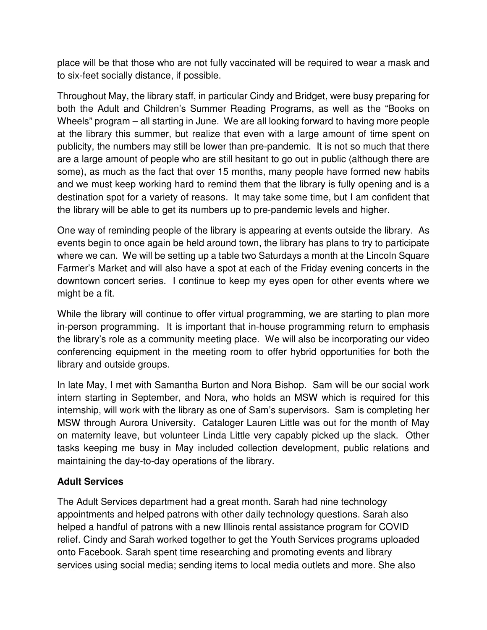place will be that those who are not fully vaccinated will be required to wear a mask and to six-feet socially distance, if possible.

Throughout May, the library staff, in particular Cindy and Bridget, were busy preparing for both the Adult and Children's Summer Reading Programs, as well as the "Books on Wheels" program – all starting in June. We are all looking forward to having more people at the library this summer, but realize that even with a large amount of time spent on publicity, the numbers may still be lower than pre-pandemic. It is not so much that there are a large amount of people who are still hesitant to go out in public (although there are some), as much as the fact that over 15 months, many people have formed new habits and we must keep working hard to remind them that the library is fully opening and is a destination spot for a variety of reasons. It may take some time, but I am confident that the library will be able to get its numbers up to pre-pandemic levels and higher.

One way of reminding people of the library is appearing at events outside the library. As events begin to once again be held around town, the library has plans to try to participate where we can. We will be setting up a table two Saturdays a month at the Lincoln Square Farmer's Market and will also have a spot at each of the Friday evening concerts in the downtown concert series. I continue to keep my eyes open for other events where we might be a fit.

While the library will continue to offer virtual programming, we are starting to plan more in-person programming. It is important that in-house programming return to emphasis the library's role as a community meeting place. We will also be incorporating our video conferencing equipment in the meeting room to offer hybrid opportunities for both the library and outside groups.

In late May, I met with Samantha Burton and Nora Bishop. Sam will be our social work intern starting in September, and Nora, who holds an MSW which is required for this internship, will work with the library as one of Sam's supervisors. Sam is completing her MSW through Aurora University. Cataloger Lauren Little was out for the month of May on maternity leave, but volunteer Linda Little very capably picked up the slack. Other tasks keeping me busy in May included collection development, public relations and maintaining the day-to-day operations of the library.

## **Adult Services**

The Adult Services department had a great month. Sarah had nine technology appointments and helped patrons with other daily technology questions. Sarah also helped a handful of patrons with a new Illinois rental assistance program for COVID relief. Cindy and Sarah worked together to get the Youth Services programs uploaded onto Facebook. Sarah spent time researching and promoting events and library services using social media; sending items to local media outlets and more. She also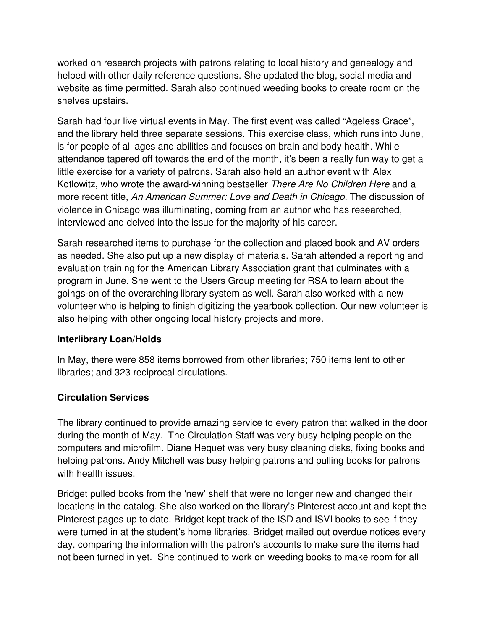worked on research projects with patrons relating to local history and genealogy and helped with other daily reference questions. She updated the blog, social media and website as time permitted. Sarah also continued weeding books to create room on the shelves upstairs.

Sarah had four live virtual events in May. The first event was called "Ageless Grace", and the library held three separate sessions. This exercise class, which runs into June, is for people of all ages and abilities and focuses on brain and body health. While attendance tapered off towards the end of the month, it's been a really fun way to get a little exercise for a variety of patrons. Sarah also held an author event with Alex Kotlowitz, who wrote the award-winning bestseller There Are No Children Here and a more recent title, An American Summer: Love and Death in Chicago. The discussion of violence in Chicago was illuminating, coming from an author who has researched, interviewed and delved into the issue for the majority of his career.

Sarah researched items to purchase for the collection and placed book and AV orders as needed. She also put up a new display of materials. Sarah attended a reporting and evaluation training for the American Library Association grant that culminates with a program in June. She went to the Users Group meeting for RSA to learn about the goings-on of the overarching library system as well. Sarah also worked with a new volunteer who is helping to finish digitizing the yearbook collection. Our new volunteer is also helping with other ongoing local history projects and more.

## **Interlibrary Loan/Holds**

In May, there were 858 items borrowed from other libraries; 750 items lent to other libraries; and 323 reciprocal circulations.

## **Circulation Services**

The library continued to provide amazing service to every patron that walked in the door during the month of May. The Circulation Staff was very busy helping people on the computers and microfilm. Diane Hequet was very busy cleaning disks, fixing books and helping patrons. Andy Mitchell was busy helping patrons and pulling books for patrons with health issues.

Bridget pulled books from the 'new' shelf that were no longer new and changed their locations in the catalog. She also worked on the library's Pinterest account and kept the Pinterest pages up to date. Bridget kept track of the ISD and ISVI books to see if they were turned in at the student's home libraries. Bridget mailed out overdue notices every day, comparing the information with the patron's accounts to make sure the items had not been turned in yet. She continued to work on weeding books to make room for all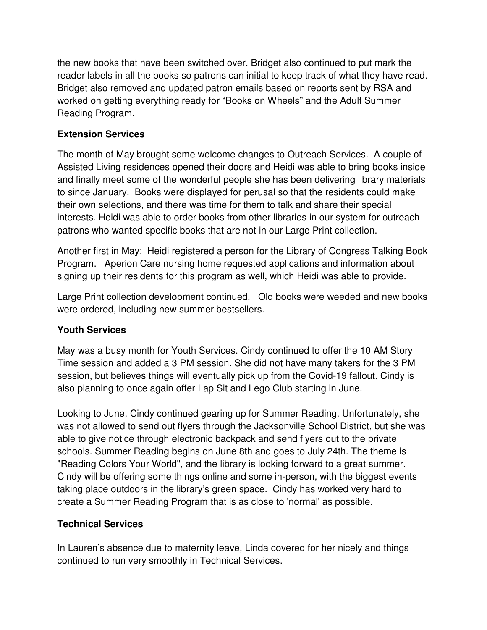the new books that have been switched over. Bridget also continued to put mark the reader labels in all the books so patrons can initial to keep track of what they have read. Bridget also removed and updated patron emails based on reports sent by RSA and worked on getting everything ready for "Books on Wheels" and the Adult Summer Reading Program.

#### **Extension Services**

The month of May brought some welcome changes to Outreach Services. A couple of Assisted Living residences opened their doors and Heidi was able to bring books inside and finally meet some of the wonderful people she has been delivering library materials to since January. Books were displayed for perusal so that the residents could make their own selections, and there was time for them to talk and share their special interests. Heidi was able to order books from other libraries in our system for outreach patrons who wanted specific books that are not in our Large Print collection.

Another first in May: Heidi registered a person for the Library of Congress Talking Book Program. Aperion Care nursing home requested applications and information about signing up their residents for this program as well, which Heidi was able to provide.

Large Print collection development continued. Old books were weeded and new books were ordered, including new summer bestsellers.

## **Youth Services**

May was a busy month for Youth Services. Cindy continued to offer the 10 AM Story Time session and added a 3 PM session. She did not have many takers for the 3 PM session, but believes things will eventually pick up from the Covid-19 fallout. Cindy is also planning to once again offer Lap Sit and Lego Club starting in June.

Looking to June, Cindy continued gearing up for Summer Reading. Unfortunately, she was not allowed to send out flyers through the Jacksonville School District, but she was able to give notice through electronic backpack and send flyers out to the private schools. Summer Reading begins on June 8th and goes to July 24th. The theme is "Reading Colors Your World", and the library is looking forward to a great summer. Cindy will be offering some things online and some in-person, with the biggest events taking place outdoors in the library's green space. Cindy has worked very hard to create a Summer Reading Program that is as close to 'normal' as possible.

## **Technical Services**

In Lauren's absence due to maternity leave, Linda covered for her nicely and things continued to run very smoothly in Technical Services.